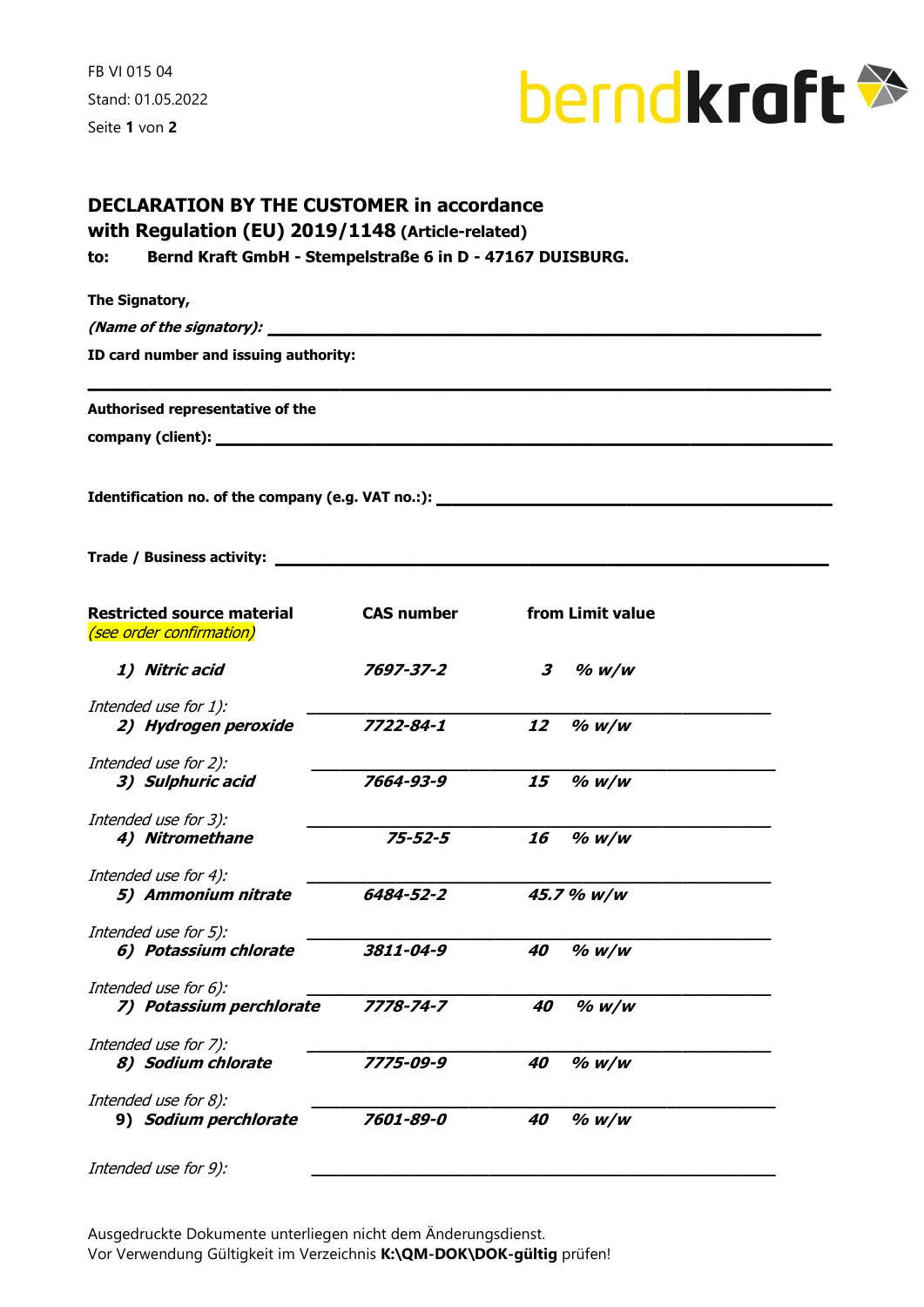FB VI 015 04 Stand: 01.05.2022 Seite 1 von 2



| with Regulation (EU) 2019/1148 (Article-related)                                  |                   |                                 |  |
|-----------------------------------------------------------------------------------|-------------------|---------------------------------|--|
| Bernd Kraft GmbH - Stempelstraße 6 in D - 47167 DUISBURG.<br>to:                  |                   |                                 |  |
| The Signatory,                                                                    |                   |                                 |  |
|                                                                                   |                   |                                 |  |
| ID card number and issuing authority:                                             |                   |                                 |  |
|                                                                                   |                   |                                 |  |
| Authorised representative of the                                                  |                   |                                 |  |
|                                                                                   |                   |                                 |  |
| Identification no. of the company (e.g. VAT no.:): ______________________________ |                   |                                 |  |
|                                                                                   |                   |                                 |  |
|                                                                                   |                   |                                 |  |
|                                                                                   |                   |                                 |  |
| <b>Restricted source material</b>                                                 | <b>CAS number</b> | from Limit value                |  |
| (see order confirmation)                                                          |                   |                                 |  |
| 1) Nitric acid                                                                    | 7697-37-2         | $\boldsymbol{\beta}$<br>$%$ w/w |  |
| Intended use for 1):                                                              |                   |                                 |  |
| 2) Hydrogen peroxide                                                              | 7722-84-1         | 12<br>$%$ w/w                   |  |
| Intended use for 2):                                                              |                   |                                 |  |
| 3) Sulphuric acid                                                                 | 7664-93-9         | 15<br>$%$ w/w                   |  |
|                                                                                   |                   |                                 |  |
| Intended use for 3):<br>4) Nitromethane                                           | $75 - 52 - 5$     | 16<br>$%$ W/W                   |  |
|                                                                                   |                   |                                 |  |
| Intended use for 4):                                                              |                   |                                 |  |
| 5) Ammonium nitrate                                                               | 6484-52-2         | 45.7 % w/w                      |  |
| Intended use for 5):                                                              |                   |                                 |  |
| 6) Potassium chlorate                                                             | 3811-04-9         | $%$ w/w<br>40                   |  |
| Intended use for 6):                                                              |                   |                                 |  |
| 7) Potassium perchlorate                                                          | 7778-74-7         | $%$ w/w<br>40                   |  |
|                                                                                   |                   |                                 |  |
| Intended use for 7):<br>8) Sodium chlorate                                        | 7775-09-9         | $%$ w/w<br>40                   |  |
|                                                                                   |                   |                                 |  |
| Intended use for 8):                                                              |                   |                                 |  |
| 9) Sodium perchlorate                                                             | 7601-89-0         | $%$ W/W<br>40                   |  |
| Intended use for 9):                                                              |                   |                                 |  |
|                                                                                   |                   |                                 |  |

Ausgedruckte Dokumente unterliegen nicht dem Änderungsdienst. Vor Verwendung Gültigkeit im Verzeichnis K:\QM-DOK\DOK-gültig prüfen!